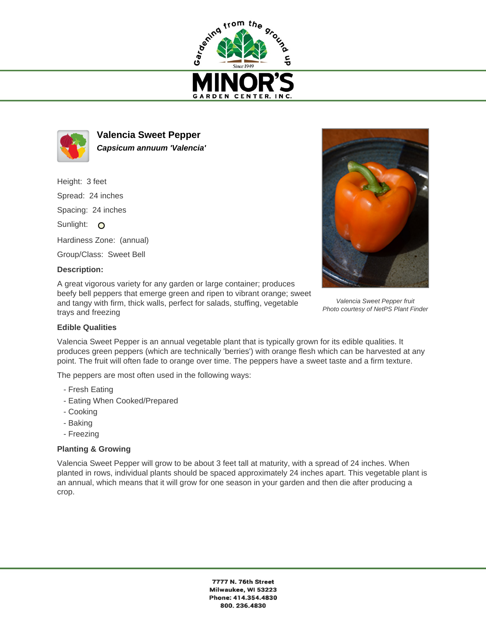



**Valencia Sweet Pepper Capsicum annuum 'Valencia'**

Height: 3 feet Spread: 24 inches Spacing: 24 inches Sunlight: O Hardiness Zone: (annual) Group/Class: Sweet Bell

## **Description:**

A great vigorous variety for any garden or large container; produces beefy bell peppers that emerge green and ripen to vibrant orange; sweet and tangy with firm, thick walls, perfect for salads, stuffing, vegetable trays and freezing



Valencia Sweet Pepper fruit Photo courtesy of NetPS Plant Finder

## **Edible Qualities**

Valencia Sweet Pepper is an annual vegetable plant that is typically grown for its edible qualities. It produces green peppers (which are technically 'berries') with orange flesh which can be harvested at any point. The fruit will often fade to orange over time. The peppers have a sweet taste and a firm texture.

The peppers are most often used in the following ways:

- Fresh Eating
- Eating When Cooked/Prepared
- Cooking
- Baking
- Freezing

## **Planting & Growing**

Valencia Sweet Pepper will grow to be about 3 feet tall at maturity, with a spread of 24 inches. When planted in rows, individual plants should be spaced approximately 24 inches apart. This vegetable plant is an annual, which means that it will grow for one season in your garden and then die after producing a crop.